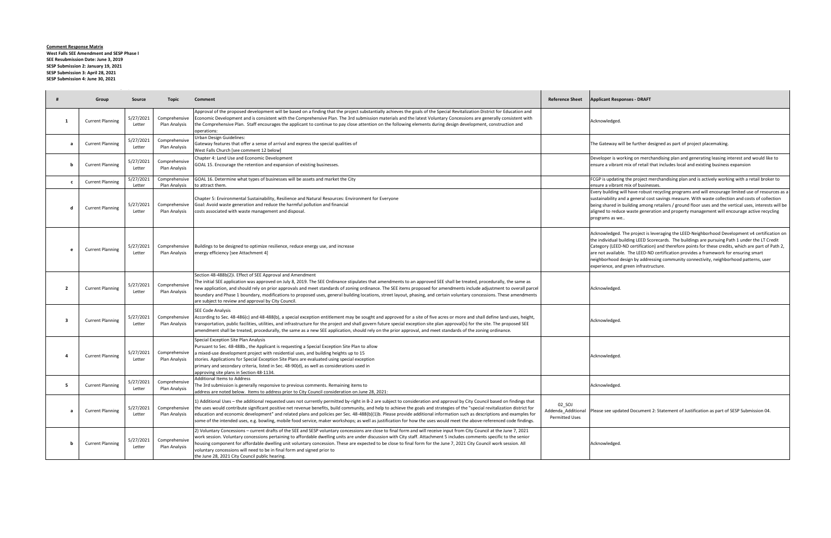**Comment Response Matrix West Falls SEE Amendment and SESP Phase I SEE Resubmission Date: June 3, 2019 SESP Submission 2: January 19, 2021 SESP Submission 3: April 28, 2021 SESP Submission 4: June 30, 2021**

 $\sim$ 

Staff Comments May 27, 2021

|                | Group                   | Source              | Topic                          | Comment                                                                                                                                                                                                                                                                                                                                                                                                                                                                                                                                                                                                                                                                                                            | <b>Reference Sheet</b>                                | <b>Applicant Responses - DRAFT</b>                                                                                                                                                                   |
|----------------|-------------------------|---------------------|--------------------------------|--------------------------------------------------------------------------------------------------------------------------------------------------------------------------------------------------------------------------------------------------------------------------------------------------------------------------------------------------------------------------------------------------------------------------------------------------------------------------------------------------------------------------------------------------------------------------------------------------------------------------------------------------------------------------------------------------------------------|-------------------------------------------------------|------------------------------------------------------------------------------------------------------------------------------------------------------------------------------------------------------|
| 1              | <b>Current Planning</b> | 5/27/2021<br>Letter | Comprehensive<br>Plan Analysis | Approval of the proposed development will be based on a finding that the project substantially achieves the goals of the Special Revitalization District for Education and<br>Economic Development and is consistent with the Comprehensive Plan. The 3rd submission materials and the latest Voluntary Concessions are generally consistent with<br>the Comprehensive Plan. Staff encourages the applicant to continue to pay close attention on the following elements during design development, construction and<br>operations:                                                                                                                                                                                |                                                       | Acknowledged.                                                                                                                                                                                        |
| a              | <b>Current Planning</b> | 5/27/2021<br>Letter | Comprehensive<br>Plan Analysis | Urban Design Guidelines:<br>Gateway features that offer a sense of arrival and express the special qualities of<br>West Falls Church [see comment 12 below]                                                                                                                                                                                                                                                                                                                                                                                                                                                                                                                                                        |                                                       | The Gateway will be further d                                                                                                                                                                        |
| b              | <b>Current Planning</b> | 5/27/2021<br>Letter | Comprehensive<br>Plan Analysis | Chapter 4: Land Use and Economic Development<br>GOAL 15. Encourage the retention and expansion of existing businesses.                                                                                                                                                                                                                                                                                                                                                                                                                                                                                                                                                                                             |                                                       | Developer is working on merc<br>ensure a vibrant mix of retail t                                                                                                                                     |
| $\mathbf{c}$   | <b>Current Planning</b> | 5/27/2021<br>Letter | Comprehensive<br>Plan Analysis | GOAL 16. Determine what types of businesses will be assets and market the City<br>to attract them.                                                                                                                                                                                                                                                                                                                                                                                                                                                                                                                                                                                                                 |                                                       | FCGP is updating the project n<br>ensure a vibrant mix of busine                                                                                                                                     |
| d              | <b>Current Planning</b> | 5/27/2021<br>Letter | Comprehensive<br>Plan Analysis | Chapter 5: Environmental Sustainability, Resilience and Natural Resources: Environment for Everyone<br>Goal: Avoid waste generation and reduce the harmful pollution and financial<br>costs associated with waste management and disposal.                                                                                                                                                                                                                                                                                                                                                                                                                                                                         |                                                       | Every building will have robus<br>sustainability and a general co<br>being shared in building amon<br>aligned to reduce waste gener<br>programs as we                                                |
| e              | <b>Current Planning</b> | 5/27/2021<br>Letter | Comprehensive<br>Plan Analysis | Buildings to be designed to optimize resilience, reduce energy use, and increase<br>energy efficiency [see Attachment 4]                                                                                                                                                                                                                                                                                                                                                                                                                                                                                                                                                                                           |                                                       | Acknowledged. The project is<br>the individual building LEED So<br>Category (LEED-ND certificatio<br>are not available. The LEED-N<br>neighborhood design by addre<br>experience, and green infrastr |
| $\overline{2}$ | <b>Current Planning</b> | 5/27/2021<br>Letter | Comprehensive<br>Plan Analysis | Section 48-488b(2)i. Effect of SEE Approval and Amendment<br>The initial SEE application was approved on July 8, 2019. The SEE Ordinance stipulates that amendments to an approved SEE shall be treated, procedurally, the same as<br>new application, and should rely on prior approvals and meet standards of zoning ordinance. The SEE items proposed for amendments include adjustment to overall parcel<br>boundary and Phase 1 boundary, modifications to proposed uses, general building locations, street layout, phasing, and certain voluntary concessions. These amendments<br>are subject to review and approval by City Council.                                                                      |                                                       | Acknowledged.                                                                                                                                                                                        |
| -3             | <b>Current Planning</b> | 5/27/2021<br>Letter | Comprehensive<br>Plan Analysis | <b>SEE Code Analysis</b><br>According to Sec. 48-486(c) and 48-488(b), a special exception entitlement may be sought and approved for a site of five acres or more and shall define land uses, height,<br>transportation, public facilities, utilities, and infrastructure for the project and shall govern future special exception site plan approval(s) for the site. The proposed SEE<br>amendment shall be treated, procedurally, the same as a new SEE application, should rely on the prior approval, and meet standards of the zoning ordinance.                                                                                                                                                           |                                                       | Acknowledged.                                                                                                                                                                                        |
| $\overline{a}$ | <b>Current Planning</b> | 5/27/2021<br>Letter | Comprehensive<br>Plan Analysis | Special Exception Site Plan Analysis<br>Pursuant to Sec. 48-488b., the Applicant is requesting a Special Exception Site Plan to allow<br>a mixed-use development project with residential uses, and building heights up to 15<br>stories. Applications for Special Exception Site Plans are evaluated using special exception<br>primary and secondary criteria, listed in Sec. 48-90(d), as well as considerations used in<br>approving site plans in Section 48-1134.                                                                                                                                                                                                                                            |                                                       | Acknowledged.                                                                                                                                                                                        |
| 5              | <b>Current Planning</b> | 5/27/2021<br>Letter | Comprehensive<br>Plan Analysis | <b>Additional Items to Address</b><br>The 3rd submission is generally responsive to previous comments. Remaining items to<br>address are noted below. Items to address prior to City Council consideration on June 28, 2021:                                                                                                                                                                                                                                                                                                                                                                                                                                                                                       |                                                       | Acknowledged.                                                                                                                                                                                        |
| a              | <b>Current Planning</b> | 5/27/2021<br>Letter | Comprehensive<br>Plan Analysis | 1) Additional Uses – the additional requested uses not currently permitted by-right in B-2 are subject to consideration and approval by City Council based on findings that<br>the uses would contribute significant positive net revenue benefits, build community, and help to achieve the goals and strategies of the "special revitalization district for<br>education and economic development" and related plans and policies per Sec. 48-488(b)(1)b. Please provide additional information such as descriptions and examples for<br>some of the intended uses, e.g. bowling, mobile food service, maker workshops; as well as justification for how the uses would meet the above-referenced code findings. | 02_SOJ<br>Addenda_Additional<br><b>Permitted Uses</b> | Please see updated Document                                                                                                                                                                          |
| b              | <b>Current Planning</b> | 5/27/2021<br>Letter | Comprehensive<br>Plan Analysis | 2) Voluntary Concessions – current drafts of the SEE and SESP voluntary concessions are close to final form and will receive input from City Council at the June 7, 2021<br>work session. Voluntary concessions pertaining to affordable dwelling units are under discussion with City staff. Attachment 5 includes comments specific to the senior<br>housing component for affordable dwelling unit voluntary concession. These are expected to be close to final form for the June 7, 2021 City Council work session. All<br>voluntary concessions will need to be in final form and signed prior to<br>the June 28, 2021 City Council public hearing.                                                          |                                                       | Acknowledged.                                                                                                                                                                                        |

way will be further designed as part of project placemaking.

r is working on merchandising plan and generating leasing interest and would like to vibrant mix of retail that includes local and existing business expansion

pdating the project merchandising plan and is actively working with a retail broker to vibrant mix of businesses.

Iding will have robust recycling programs and will encourage limited use of resources as a ility and a general cost savings measure. With waste collection and costs of collection  $b$ red in building among retailers / ground floor uses and the vertical uses, interests will be o reduce waste generation and property management will encourage active recycling s as we..

edged. The project is leveraging the LEED-Neighborhood Development v4 certification on idual building LEED Scorecards. The buildings are pursuing Path 1 under the LT Credit (LEED-ND certification) and therefore points for these credits, which are part of Path 2, vailable. The LEED-ND certification provides a framework for ensuring smart hood design by addressing community connectivity, neighborhood patterns, user ce, and green infrastructure.

eupdated Document 2: Statement of Justification as part of SESP Submission 04.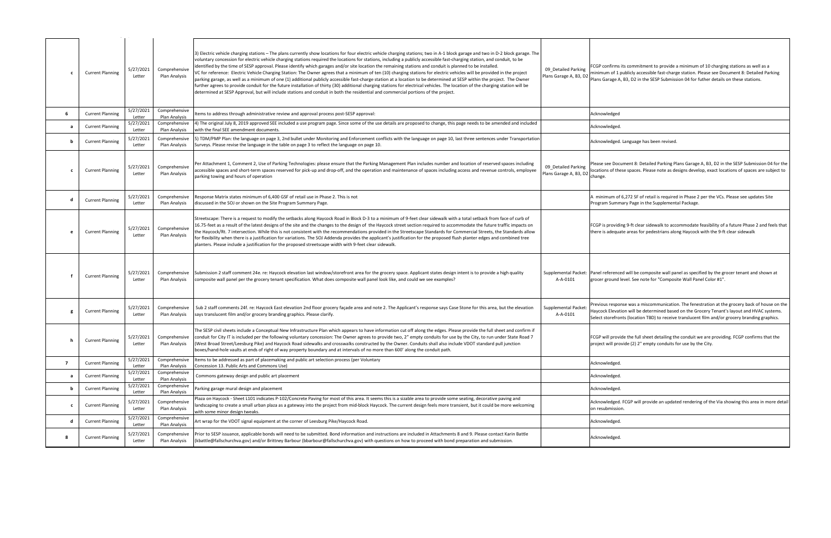| c              | <b>Current Planning</b> | 5/27/2021<br>Letter | Comprehensive<br>Plan Analysis | 3) Electric vehicle charging stations – The plans currently show locations for four electric vehicle charging stations; two in A-1 block garage and two in D-2 block garage. The<br>voluntary concession for electric vehicle charging stations required the locations for stations, including a publicly accessible fast-charging station, and conduit, to be<br>identified by the time of SESP approval. Please identify which garages and/or site location the remaining stations and conduit is planned to be installed.<br>/C for reference: Electric Vehicle Charging Station: The Owner agrees that a minimum of ten (10) charging stations for electric vehicles will be provided in the project<br>parking garage, as well as a minimum of one (1) additional publicly accessible fast-charge station at a location to be determined at SESP within the project. The Owner<br>further agrees to provide conduit for the future installation of thirty (30) additional charging stations for electrical vehicles. The location of the charging station will be<br>determined at SESP Approval, but will include stations and conduit in both the residential and commercial portions of the project. | 09 Detailed Parking<br>Plans Garage A, B3, D2 | FCGP confirms its commitment to provide a<br>minimum of 1 publicly accessible fast-charg<br>Plans Garage A, B3, D2 in the SESP Submissi |
|----------------|-------------------------|---------------------|--------------------------------|--------------------------------------------------------------------------------------------------------------------------------------------------------------------------------------------------------------------------------------------------------------------------------------------------------------------------------------------------------------------------------------------------------------------------------------------------------------------------------------------------------------------------------------------------------------------------------------------------------------------------------------------------------------------------------------------------------------------------------------------------------------------------------------------------------------------------------------------------------------------------------------------------------------------------------------------------------------------------------------------------------------------------------------------------------------------------------------------------------------------------------------------------------------------------------------------------------------|-----------------------------------------------|-----------------------------------------------------------------------------------------------------------------------------------------|
| 6              | <b>Current Planning</b> | 5/27/2021<br>Letter | Comprehensive<br>Plan Analysis | Items to address through administrative review and approval process post-SESP approval:                                                                                                                                                                                                                                                                                                                                                                                                                                                                                                                                                                                                                                                                                                                                                                                                                                                                                                                                                                                                                                                                                                                      |                                               | Acknowledged                                                                                                                            |
| a              | <b>Current Planning</b> | 5/27/2021<br>Letter | Comprehensive<br>Plan Analysis | 4) The original July 8, 2019 approved SEE included a use program page. Since some of the use details are proposed to change, this page needs to be amended and included<br>with the final SEE amendment documents.                                                                                                                                                                                                                                                                                                                                                                                                                                                                                                                                                                                                                                                                                                                                                                                                                                                                                                                                                                                           |                                               | Acknowledged.                                                                                                                           |
| b              | <b>Current Planning</b> | 5/27/2021<br>Letter | Comprehensive<br>Plan Analysis | 5) TDM/PMP Plan: the language on page 3, 2nd bullet under Monitoring and Enforcement conflicts with the language on page 10, last three sentences under Transportation<br>Surveys. Please revise the language in the table on page 3 to reflect the language on page 10.                                                                                                                                                                                                                                                                                                                                                                                                                                                                                                                                                                                                                                                                                                                                                                                                                                                                                                                                     |                                               | Acknowledged. Language has been revised.                                                                                                |
| c              | <b>Current Planning</b> | 5/27/2021<br>Letter | Comprehensive<br>Plan Analysis | Per Attachment 1, Comment 2, Use of Parking Technologies: please ensure that the Parking Management Plan includes number and location of reserved spaces including<br>accessible spaces and short-term spaces reserved for pick-up and drop-off, and the operation and maintenance of spaces including access and revenue controls, employee<br>parking towing and hours of operation                                                                                                                                                                                                                                                                                                                                                                                                                                                                                                                                                                                                                                                                                                                                                                                                                        | 09 Detailed Parking<br>Plans Garage A, B3, D2 | Please see Document 8: Detailed Parking Pla<br>locations of these spaces. Please note as de<br>change.                                  |
| d              | <b>Current Planning</b> | 5/27/2021<br>Letter | Comprehensive<br>Plan Analysis | Response Matrix states minimum of 6,400 GSF of retail use in Phase 2. This is not<br>discussed in the SOJ or shown on the Site Program Summary Page.                                                                                                                                                                                                                                                                                                                                                                                                                                                                                                                                                                                                                                                                                                                                                                                                                                                                                                                                                                                                                                                         |                                               | A minimum of 6,272 SF of retail is required<br>Program Summary Page in the Supplementa                                                  |
| e              | <b>Current Planning</b> | 5/27/2021<br>Letter | Comprehensive<br>Plan Analysis | Streetscape: There is a request to modify the setbacks along Haycock Road in Block D-3 to a minimum of 9-feet clear sidewalk with a total setback from face of curb of<br>16.75-feet as a result of the latest designs of the site and the changes to the design of the Haycock street section required to accommodate the future traffic impacts on<br>he Haycock/Rt. 7 intersection. While this is not consistent with the recommendations provided in the Streetscape Standards for Commercial Streets, the Standards allow<br>for flexibility when there is a justification for variations. The SOJ Addenda provides the applicant's justification for the proposed flush planter edges and combined tree<br>planters. Please include a justification for the proposed streetscape width with 9-feet clear sidewalk.                                                                                                                                                                                                                                                                                                                                                                                     |                                               | FCGP is providing 9-ft clear sidewalk to acco<br>there is adequate areas for pedestrians alor                                           |
|                | <b>Current Planning</b> | 5/27/2021<br>Letter | Comprehensive<br>Plan Analysis | Submission 2 staff comment 24e. re: Haycock elevation last window/storefront area for the grocery space. Applicant states design intent is to provide a high quality<br>composite wall panel per the grocery tenant specification. What does composite wall panel look like, and could we see examples?                                                                                                                                                                                                                                                                                                                                                                                                                                                                                                                                                                                                                                                                                                                                                                                                                                                                                                      | A-A-0101                                      | Supplemental Packet: Panel referenced will be composite wall par<br>grocer ground level. See note for "Composi                          |
|                | <b>Current Planning</b> | 5/27/2021<br>Letter | Comprehensive<br>Plan Analysis | Sub 2 staff comments 24f. re: Haycock East elevation 2nd floor grocery façade area and note 2. The Applicant's response says Case Stone for this area, but the elevation<br>says translucent film and/or grocery branding graphics. Please clarify.                                                                                                                                                                                                                                                                                                                                                                                                                                                                                                                                                                                                                                                                                                                                                                                                                                                                                                                                                          | Supplemental Packet:<br>A-A-0101              | Previous response was a miscommunicatior<br>Haycock Elevation will be determined based<br>Select storefronts (location TBD) to receive  |
| h              | <b>Current Planning</b> | 5/27/2021<br>Letter | Comprehensive<br>Plan Analysis | The SESP civil sheets include a Conceptual New Infrastructure Plan which appears to have information cut off along the edges. Please provide the full sheet and confirm if<br>conduit for City IT is included per the following voluntary concession: The Owner agrees to provide two, 2" empty conduits for use by the City, to run under State Road 7<br>(West Broad Street/Leesburg Pike) and Haycock Road sidewalks and crosswalks constructed by the Owner. Conduits shall also include VDOT standard pull junction<br>boxes/hand-hole vaults at ends of right of way property boundary and at intervals of no more than 600' along the conduit path.                                                                                                                                                                                                                                                                                                                                                                                                                                                                                                                                                   |                                               | FCGP will provide the full sheet detailing the<br>project will provide (2) 2" empty conduits fo                                         |
| $\overline{7}$ | <b>Current Planning</b> | 5/27/2021<br>Letter | Comprehensive<br>Plan Analysis | Items to be addressed as part of placemaking and public art selection process (per Voluntary<br>Concession 13. Public Arts and Commons Use)                                                                                                                                                                                                                                                                                                                                                                                                                                                                                                                                                                                                                                                                                                                                                                                                                                                                                                                                                                                                                                                                  |                                               | Acknowledged.                                                                                                                           |
| a              | <b>Current Planning</b> | 5/27/2021<br>Letter | Comprehensive<br>Plan Analysis | Commons gateway design and public art placement                                                                                                                                                                                                                                                                                                                                                                                                                                                                                                                                                                                                                                                                                                                                                                                                                                                                                                                                                                                                                                                                                                                                                              |                                               | Acknowledged.                                                                                                                           |
| b              | <b>Current Planning</b> | 5/27/2021<br>Letter | Comprehensive<br>Plan Analysis | Parking garage mural design and placement                                                                                                                                                                                                                                                                                                                                                                                                                                                                                                                                                                                                                                                                                                                                                                                                                                                                                                                                                                                                                                                                                                                                                                    |                                               | Acknowledged.                                                                                                                           |
| c              | <b>Current Planning</b> | 5/27/2021<br>Letter | Comprehensive<br>Plan Analysis | Plaza on Haycock - Sheet L101 indicates P-102/Concrete Paving for most of this area. It seems this is a sizable area to provide some seating, decorative paving and<br>landscaping to create a small urban plaza as a gateway into the project from mid-block Haycock. The current design feels more transient, but it could be more welcoming<br>with some minor design tweaks.                                                                                                                                                                                                                                                                                                                                                                                                                                                                                                                                                                                                                                                                                                                                                                                                                             |                                               | Acknowledged. FCGP will provide an update<br>on resubmission.                                                                           |
| d              | <b>Current Planning</b> | 5/27/2021<br>Letter | Comprehensive<br>Plan Analysis | Art wrap for the VDOT signal equipment at the corner of Leesburg Pike/Haycock Road.                                                                                                                                                                                                                                                                                                                                                                                                                                                                                                                                                                                                                                                                                                                                                                                                                                                                                                                                                                                                                                                                                                                          |                                               | Acknowledged.                                                                                                                           |
| 8              | <b>Current Planning</b> | 5/27/2021<br>Letter | Comprehensive<br>Plan Analysis | Prior to SESP issuance, applicable bonds will need to be submitted. Bond information and instructions are included in Attachments 8 and 9. Please contact Karin Battle<br>(kbattle@fallschurchva.gov) and/or Brittney Barbour (bbarbour@fallschurchva.gov) with questions on how to proceed with bond preparation and submission.                                                                                                                                                                                                                                                                                                                                                                                                                                                                                                                                                                                                                                                                                                                                                                                                                                                                            |                                               | Acknowledged.                                                                                                                           |

irms its commitment to provide a minimum of 10 charging stations as well as a of 1 publicly accessible fast-charge station. Please see Document 8: Detailed Parking age A, B3, D2 in the SESP Submission 04 for futher details on these stations.

Pleasument 8: Detailed Parking Plans Garage A, B3, D2 in the SESP Submission 04 for the of these spaces. Please note as designs develop, exact locations of spaces are subject to

m of 6,272 SF of retail is required in Phase 2 per the VCs. Please see updates Site iummary Page in the Supplemental Package.

oviding 9-ft clear sidewalk to accommodate feasibility of a future Phase 2 and feels that lequate areas for pedestrians along Haycock with the 9-ft clear sidewalk

renced will be composite wall panel as specified by the grocer tenant and shown at und level. See note for "Composite Wall Panel Color #1".

esponse was a miscommunication. The fenestration at the grocery back of house on the levation will be determined based on the Grocery Tenant's layout and HVAC systems. refronts (location TBD) to receive translucent film and/or grocery branding graphics.

provide the full sheet detailing the conduit we are providing. FCGP confirms that the Il provide (2) 2" empty conduits for use by the City.

dged. FCGP will provide an updated rendering of the Via showing this area in more detail hission.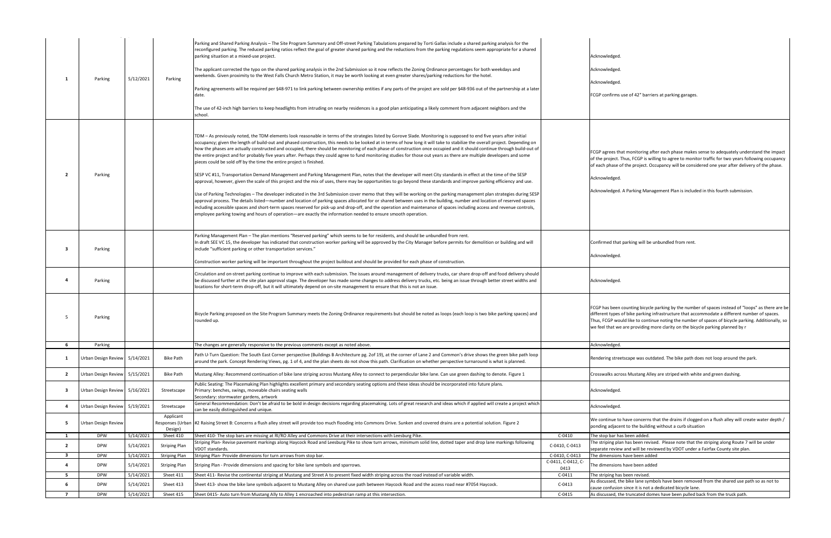|                         |                               |           |                      | Parking and Shared Parking Analysis - The Site Program Summary and Off-street Parking Tabulations prepared by Torti Gallas include a shared parking analysis for the<br>econfigured parking. The reduced parking ratios reflect the goal of greater shared parking and the reductions from the parking regulations seem appropriate for a shared<br>parking situation at a mixed-use project.<br>The applicant corrected the typo on the shared parking analysis in the 2nd Submission so it now reflects the Zoning Ordinance percentages for both weekdays and                                                                                                                                                                                                                      |                    | Acknowledged.<br>Acknowledged.                                                                                                                  |
|-------------------------|-------------------------------|-----------|----------------------|---------------------------------------------------------------------------------------------------------------------------------------------------------------------------------------------------------------------------------------------------------------------------------------------------------------------------------------------------------------------------------------------------------------------------------------------------------------------------------------------------------------------------------------------------------------------------------------------------------------------------------------------------------------------------------------------------------------------------------------------------------------------------------------|--------------------|-------------------------------------------------------------------------------------------------------------------------------------------------|
| -1                      | Parking                       | 5/12/2021 | Parking              | weekends. Given proximity to the West Falls Church Metro Station, it may be worth looking at even greater shares/parking reductions for the hotel.                                                                                                                                                                                                                                                                                                                                                                                                                                                                                                                                                                                                                                    |                    |                                                                                                                                                 |
|                         |                               |           |                      | Parking agreements will be required per §48-971 to link parking between ownership entities if any parts of the project are sold per §48-936 out of the partnership at a later                                                                                                                                                                                                                                                                                                                                                                                                                                                                                                                                                                                                         |                    | Acknowledged.                                                                                                                                   |
|                         |                               |           |                      | date.                                                                                                                                                                                                                                                                                                                                                                                                                                                                                                                                                                                                                                                                                                                                                                                 |                    | FCGP confirms use of 42" barrier                                                                                                                |
|                         |                               |           |                      | The use of 42-inch high barriers to keep headlights from intruding on nearby residences is a good plan anticipating a likely comment from adjacent neighbors and the                                                                                                                                                                                                                                                                                                                                                                                                                                                                                                                                                                                                                  |                    |                                                                                                                                                 |
|                         |                               |           |                      | school.                                                                                                                                                                                                                                                                                                                                                                                                                                                                                                                                                                                                                                                                                                                                                                               |                    |                                                                                                                                                 |
|                         |                               |           |                      |                                                                                                                                                                                                                                                                                                                                                                                                                                                                                                                                                                                                                                                                                                                                                                                       |                    |                                                                                                                                                 |
|                         |                               |           |                      | TDM – As previously noted, the TDM elements look reasonable in terms of the strategies listed by Gorove Slade. Monitoring is supposed to end five years after initial<br>occupancy; given the length of build-out and phased construction, this needs to be looked at in terms of how long it will take to stabilize the overall project. Depending on<br>how the phases are actually constructed and occupied, there should be monitoring of each phase of construction once occupied and it should continue through build-out of<br>the entire project and for probably five years after. Perhaps they could agree to fund monitoring studies for those out years as there are multiple developers and some<br>pieces could be sold off by the time the entire project is finished. |                    | FCGP agrees that monitoring after<br>of the project. Thus, FCGP is willi<br>of each phase of the project. Occ                                   |
| $\overline{2}$          | Parking                       |           |                      | SESP VC #11, Transportation Demand Management and Parking Management Plan, notes that the developer will meet City standards in effect at the time of the SESP                                                                                                                                                                                                                                                                                                                                                                                                                                                                                                                                                                                                                        |                    | Acknowledged.                                                                                                                                   |
|                         |                               |           |                      | approval, however, given the scale of this project and the mix of uses, there may be opportunities to go beyond these standards and improve parking efficiency and use.                                                                                                                                                                                                                                                                                                                                                                                                                                                                                                                                                                                                               |                    |                                                                                                                                                 |
|                         |                               |           |                      | Jse of Parking Technologies – The developer indicated in the 3rd Submission cover memo that they will be working on the parking management plan strategies during SESP<br>approval process. The details listed—number and location of parking spaces allocated for or shared between uses in the building, number and location of reserved spaces<br>ncluding accessible spaces and short-term spaces reserved for pick-up and drop-off, and the operation and maintenance of spaces including access and revenue controls,<br>employee parking towing and hours of operation—are exactly the information needed to ensure smooth operation.                                                                                                                                          |                    | Acknowledged. A Parking Manag                                                                                                                   |
|                         |                               |           |                      | Parking Management Plan - The plan mentions "Reserved parking" which seems to be for residents, and should be unbundled from rent.                                                                                                                                                                                                                                                                                                                                                                                                                                                                                                                                                                                                                                                    |                    |                                                                                                                                                 |
| -3                      | Parking                       |           |                      | In draft SEE VC 15, the developer has indicated that construction worker parking will be approved by the City Manager before permits for demolition or building and will<br>include "sufficient parking or other transportation services."                                                                                                                                                                                                                                                                                                                                                                                                                                                                                                                                            |                    | Confirmed that parking will be ur                                                                                                               |
|                         |                               |           |                      | Construction worker parking will be important throughout the project buildout and should be provided for each phase of construction.                                                                                                                                                                                                                                                                                                                                                                                                                                                                                                                                                                                                                                                  |                    | Acknowledged.                                                                                                                                   |
| 4                       | Parking                       |           |                      | Circulation and on-street parking continue to improve with each submission. The issues around management of delivery trucks, car share drop-off and food delivery should<br>be discussed further at the site plan approval stage. The developer has made some changes to address delivery trucks, etc. being an issue through better street widths and<br>locations for short-term drop-off, but it will ultimately depend on on-site management to ensure that this is not an issue.                                                                                                                                                                                                                                                                                                 |                    | Acknowledged.                                                                                                                                   |
| -5                      | Parking                       |           |                      | Bicycle Parking proposed on the Site Program Summary meets the Zoning Ordinance requirements but should be noted as loops (each loop is two bike parking spaces) and<br>rounded up.                                                                                                                                                                                                                                                                                                                                                                                                                                                                                                                                                                                                   |                    | FCGP has been counting bicycle p<br>different types of bike parking inf<br>Thus, FCGP would like to continu<br>we feel that we are providing mo |
| 6                       | Parking                       |           |                      | The changes are generally responsive to the previous comments except as noted above.                                                                                                                                                                                                                                                                                                                                                                                                                                                                                                                                                                                                                                                                                                  |                    | Acknowledged.                                                                                                                                   |
| $\mathbf{1}$            | Urban Design Review 5/14/2021 |           | <b>Bike Path</b>     | Path U-Turn Question: The South East Corner perspective (Buildings B Architecture pg. 2of 19), at the corner of Lane 2 and Common's drive shows the green bike path loop<br>around the park. Concept Rendering Views, pg. 1 of 4, and the plan sheets do not show this path. Clarification on whether perspective turnaround is what is planned.                                                                                                                                                                                                                                                                                                                                                                                                                                      |                    | Rendering streetscape was outda                                                                                                                 |
| $\overline{\mathbf{2}}$ | Urban Design Review           | 5/15/2021 | <b>Bike Path</b>     | Mustang Alley: Recommend continuation of bike lane striping across Mustang Alley to connect to perpendicular bike lane. Can use green dashing to denote. Figure 1                                                                                                                                                                                                                                                                                                                                                                                                                                                                                                                                                                                                                     |                    | <b>Crosswalks across Mustang Alley</b>                                                                                                          |
| - 3                     | Urban Design Review 5/16/2021 |           | Streetscape          | Public Seating: The Placemaking Plan highlights excellent primary and secondary seating options and these ideas should be incorporated into future plans.<br>Primary: benches, swings, moveable chairs seating walls<br>Secondary: stormwater gardens, artwork                                                                                                                                                                                                                                                                                                                                                                                                                                                                                                                        |                    | Acknowledged.                                                                                                                                   |
| -4                      | Urban Design Review           | 5/19/2021 | Streetscape          | General Recommendation: Don't be afraid to be bold in design decisions regarding placemaking. Lots of great research and ideas which if applied will create a project which<br>can be easily distinguished and unique.                                                                                                                                                                                                                                                                                                                                                                                                                                                                                                                                                                |                    | Acknowledged.                                                                                                                                   |
| -5                      | Urban Design Review           |           | Applicant            | Responses (Urban #2 Raising Street B: Concerns a flush alley street will provide too much flooding into Commons Drive. Sunken and covered drains are a potential solution. Figure 2                                                                                                                                                                                                                                                                                                                                                                                                                                                                                                                                                                                                   |                    | We continue to have concerns th<br>ponding adjacent to the building                                                                             |
| 1                       | <b>DPW</b>                    | 5/14/2021 | Design)<br>Sheet 410 | Sheet 410- The stop bars are missing at RI/RO Alley and Commons Drive at their intersections with Leesburg Pike.                                                                                                                                                                                                                                                                                                                                                                                                                                                                                                                                                                                                                                                                      | $C-0410$           | The stop bar has been added.                                                                                                                    |
| $\overline{2}$          | <b>DPW</b>                    | 5/14/2021 | <b>Striping Plan</b> | Striping Plan-Revise pavement markings along Haycock Road and Leesburg Pike to show turn arrows, minimum solid line, dotted taper and drop lane markings following                                                                                                                                                                                                                                                                                                                                                                                                                                                                                                                                                                                                                    | C-0410, C-0413     | The striping plan has been revise                                                                                                               |
| $\overline{\mathbf{3}}$ | <b>DPW</b>                    | 5/14/2021 | <b>Striping Plan</b> | VDOT standards.<br>Striping Plan- Provide dimensions for turn arrows from stop bar.                                                                                                                                                                                                                                                                                                                                                                                                                                                                                                                                                                                                                                                                                                   | C-0410, C-0413     | separate review and will be revie<br>The dimensions have been added                                                                             |
| 4                       | <b>DPW</b>                    | 5/14/2021 | <b>Striping Plan</b> | Striping Plan - Provide dimensions and spacing for bike lane symbols and sparrows.                                                                                                                                                                                                                                                                                                                                                                                                                                                                                                                                                                                                                                                                                                    | C-0411, C-0412, C- | The dimensions have been added                                                                                                                  |
| - 5                     | <b>DPW</b>                    | 5/14/2021 | Sheet 411            | Sheet 411- Revise the continental striping at Mustang and Street A to present fixed width striping across the road instead of variable width.                                                                                                                                                                                                                                                                                                                                                                                                                                                                                                                                                                                                                                         | 0413<br>$C-0411$   | The striping has been revised.                                                                                                                  |
| 6                       | <b>DPW</b>                    | 5/14/2021 | Sheet 413            | Sheet 413- show the bike lane symbols adjacent to Mustang Alley on shared use path between Haycock Road and the access road near #7054 Haycock.                                                                                                                                                                                                                                                                                                                                                                                                                                                                                                                                                                                                                                       | $C-0413$           | As discussed, the bike lane symbo                                                                                                               |
| $\overline{7}$          |                               | 5/14/2021 | Sheet 415            |                                                                                                                                                                                                                                                                                                                                                                                                                                                                                                                                                                                                                                                                                                                                                                                       |                    | cause confusion since it is not a d                                                                                                             |
|                         | <b>DPW</b>                    |           |                      | Sheet 0415- Auto turn from Mustang Ally to Alley 1 encroached into pedestrian ramp at this intersection.                                                                                                                                                                                                                                                                                                                                                                                                                                                                                                                                                                                                                                                                              | C-0415             | As discussed, the truncated dome                                                                                                                |

firms use of 42" barriers at parking garages.

ees that monitoring after each phase makes sense to adequately understand the impact ject. Thus, FCGP is willing to agree to monitor traffic for two years following occupancy hase of the project. Occupancy will be considered one year after delivery of the phase.

dged. A Parking Management Plan is included in this fourth submission.

I that parking will be unbundled from rent.

been counting bicycle parking by the number of spaces instead of "loops" as there are be types of bike parking infrastructure that accommodate a different number of spaces. P would like to continue noting the number of spaces of bicycle parking. Additionally, so hat we are providing more clarity on the bicycle parking planned by r

streetscape was outdated. The bike path does not loop around the park.

s across Mustang Alley are striped with white and green dashing.

iue to have concerns that the drains if clogged on a flush alley will create water depth  $/$ djacent to the building without a curb situation

ng plan has been revised. Please note that the striping along Route 7 will be under eview and will be reviewed by VDOT under a Fairfax County site plan.

nsions have been added

ed, the bike lane symbols have been removed from the shared use path so as not to fusion since it is not a dedicated bicycle lane.

ed, the truncated domes have been pulled back from the truck path.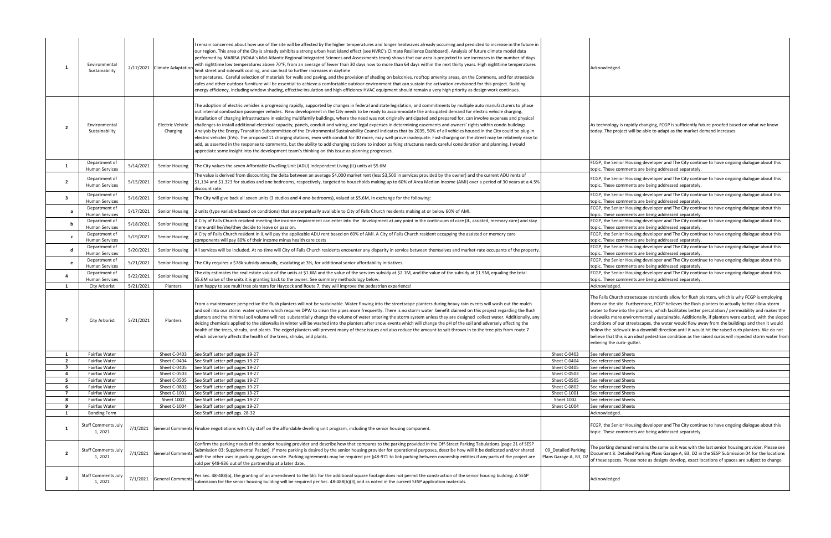|                                | Environmental<br>Sustainability        |           | 2/17/2021 Climate Adaptatio         | remain concerned about how use of the site will be affected by the higher temperatures and longer heatwaves already occurring and predicted to increase in the future in<br>our region. This area of the City is already exhibits a strong urban heat island effect (see NVRC's Climate Resilience Dashboard). Analysis of future climate model data<br>performed by MARISA (NOAA's Mid-Atlantic Regional Integrated Sciences and Assessments team) shows that our area is projected to see increases in the number of days<br>with nighttime low temperatures above 70°F, from an average of fewer than 30 days now to more than 64 days within the next thirty years. High nighttime temperatures<br>limit street and sidewalk cooling, and can lead to further increases in daytime<br>temperatures. Careful selection of materials for walls and paving, and the provision of shading on balconies, rooftop amenity areas, on the Commons, and for streetside<br>cafes and other outdoor furniture will be essential to achieve a comfortable outdoor environment that can sustain the activation envisioned for this project. Building<br>energy efficiency, including window shading, effective insulation and high-efficiency HVAC equipment should remain a very high priority as design work continues.                                  |                                               | Acknowledged.                                                                                                                                                                                                                                                                                                                                                                                                                                                                                                                                                                                                                                                                                                                                               |
|--------------------------------|----------------------------------------|-----------|-------------------------------------|---------------------------------------------------------------------------------------------------------------------------------------------------------------------------------------------------------------------------------------------------------------------------------------------------------------------------------------------------------------------------------------------------------------------------------------------------------------------------------------------------------------------------------------------------------------------------------------------------------------------------------------------------------------------------------------------------------------------------------------------------------------------------------------------------------------------------------------------------------------------------------------------------------------------------------------------------------------------------------------------------------------------------------------------------------------------------------------------------------------------------------------------------------------------------------------------------------------------------------------------------------------------------------------------------------------------------------------------------|-----------------------------------------------|-------------------------------------------------------------------------------------------------------------------------------------------------------------------------------------------------------------------------------------------------------------------------------------------------------------------------------------------------------------------------------------------------------------------------------------------------------------------------------------------------------------------------------------------------------------------------------------------------------------------------------------------------------------------------------------------------------------------------------------------------------------|
| 2                              | Environmental<br>Sustainability        |           | <b>Electric Vehicle</b><br>Charging | The adoption of electric vehicles is progressing rapidly, supported by changes in federal and state legislation, and commitments by multiple auto manufacturers to phase<br>out internal combustion passenger vehicles. New development in the City needs to be ready to accommodate the anticipated demand for electric vehicle charging<br>Installation of charging infrastructure in existing multifamily buildings, where the need was not originally anticipated and prepared for, can involve expenses and physical<br>challenges to install additional electrical capacity, panels, conduit and wiring, and legal expenses in determining easements and owners' rights within condo buildings.<br>Analysis by the Energy Transition Subcommittee of the Environmental Sustainability Council indicates that by 2035, 50% of all vehicles housed in the City could be plug-in<br>electric vehicles (EVs). The proposed 11 charging stations, even with conduit for 30 more, may well prove inadequate. Fast-charging on the street may be relatively easy to<br>add, as asserted in the response to comments, but the ability to add charging stations to indoor parking structures needs careful consideration and planning. I would<br>appreciate some insight into the development team's thinking on this issue as planning progresses. |                                               | As technology is rapidly changing, FCGP is sufficiently future proofed based on what we know<br>today. The project will be able to adapt as the market demand increases.                                                                                                                                                                                                                                                                                                                                                                                                                                                                                                                                                                                    |
| -1                             | Department of<br><b>Human Services</b> | 5/14/2021 | Senior Housing                      | The City values the seven Affordable Dwelling Unit (ADU) Independent Living (IL) units at \$5.6M.                                                                                                                                                                                                                                                                                                                                                                                                                                                                                                                                                                                                                                                                                                                                                                                                                                                                                                                                                                                                                                                                                                                                                                                                                                                 |                                               | FCGP, the Senior Housing developer and The City continue to have ongoing dialogue about this<br>topic. These comments are being addressed separately.                                                                                                                                                                                                                                                                                                                                                                                                                                                                                                                                                                                                       |
| $\overline{2}$                 | Department of<br>Human Services        | 5/15/2021 | Senior Housing                      | The value is derived from discounting the delta between an average \$4,000 market rent (less \$3,500 in services provided by the owner) and the current ADU rents of<br>\$1,134 and \$1,323 for studios and one bedrooms, respectively, targeted to households making up to 60% of Area Median Income (AMI) over a period of 30 years at a 4.5%<br>discount rate.                                                                                                                                                                                                                                                                                                                                                                                                                                                                                                                                                                                                                                                                                                                                                                                                                                                                                                                                                                                 |                                               | FCGP, the Senior Housing developer and The City continue to have ongoing dialogue about this<br>topic. These comments are being addressed separately.                                                                                                                                                                                                                                                                                                                                                                                                                                                                                                                                                                                                       |
| 3                              | Department of<br><b>Human Services</b> | 5/16/2021 | Senior Housing                      | The City will give back all seven units (3 studios and 4 one-bedrooms), valued at \$5.6M, in exchange for the following:                                                                                                                                                                                                                                                                                                                                                                                                                                                                                                                                                                                                                                                                                                                                                                                                                                                                                                                                                                                                                                                                                                                                                                                                                          |                                               | FCGP, the Senior Housing developer and The City continue to have ongoing dialogue about this<br>topic. These comments are being addressed separately.                                                                                                                                                                                                                                                                                                                                                                                                                                                                                                                                                                                                       |
| a                              | Department of<br><b>Human Services</b> | 5/17/2021 | Senior Housing                      | 2 units (type variable based on conditions) that are perpetually available to City of Falls Church residents making at or below 60% of AMI.                                                                                                                                                                                                                                                                                                                                                                                                                                                                                                                                                                                                                                                                                                                                                                                                                                                                                                                                                                                                                                                                                                                                                                                                       |                                               | FCGP, the Senior Housing developer and The City continue to have ongoing dialogue about this<br>topic. These comments are being addressed separately.                                                                                                                                                                                                                                                                                                                                                                                                                                                                                                                                                                                                       |
| b                              | Department of<br><b>Human Services</b> | 5/18/2021 | Senior Housing                      | A City of Falls Church resident meeting the income requirement can enter into the development at any point in the continuum of care (IL, assisted, memory care) and stay<br>there until he/she/they decide to leave or pass on.                                                                                                                                                                                                                                                                                                                                                                                                                                                                                                                                                                                                                                                                                                                                                                                                                                                                                                                                                                                                                                                                                                                   |                                               | FCGP, the Senior Housing developer and The City continue to have ongoing dialogue about this<br>topic. These comments are being addressed separately.                                                                                                                                                                                                                                                                                                                                                                                                                                                                                                                                                                                                       |
| c                              | Department of                          | 5/19/2021 | Senior Housing                      | A City of Falls Church resident in IL will pay the applicable ADU rent based on 60% of AMI. A City of Falls Church resident occupying the assisted or memory care                                                                                                                                                                                                                                                                                                                                                                                                                                                                                                                                                                                                                                                                                                                                                                                                                                                                                                                                                                                                                                                                                                                                                                                 |                                               | FCGP, the Senior Housing developer and The City continue to have ongoing dialogue about this                                                                                                                                                                                                                                                                                                                                                                                                                                                                                                                                                                                                                                                                |
| d                              | <b>Human Services</b><br>Department of | 5/20/2021 | Senior Housing                      | components will pay 80% of their income minus health care costs<br>All services will be included. At no time will City of Falls Church residents encounter any disparity in service between themselves and market-rate occupants of the property.                                                                                                                                                                                                                                                                                                                                                                                                                                                                                                                                                                                                                                                                                                                                                                                                                                                                                                                                                                                                                                                                                                 |                                               | topic. These comments are being addressed separately.<br>FCGP, the Senior Housing developer and The City continue to have ongoing dialogue about this                                                                                                                                                                                                                                                                                                                                                                                                                                                                                                                                                                                                       |
|                                | <b>Human Services</b><br>Department of |           |                                     |                                                                                                                                                                                                                                                                                                                                                                                                                                                                                                                                                                                                                                                                                                                                                                                                                                                                                                                                                                                                                                                                                                                                                                                                                                                                                                                                                   |                                               | topic. These comments are being addressed separately.<br>FCGP, the Senior Housing developer and The City continue to have ongoing dialogue about this                                                                                                                                                                                                                                                                                                                                                                                                                                                                                                                                                                                                       |
| e                              | <b>Human Services</b><br>Department of | 5/21/2021 | Senior Housing                      | The City requires a \$78k subsidy annually, escalating at 3%, for additional senior affordability initiatives.<br>The city estimates the real estate value of the units at \$1.6M and the value of the services subsidy at \$2.1M, and the value of the subsidy at \$1.9M, equaling the total                                                                                                                                                                                                                                                                                                                                                                                                                                                                                                                                                                                                                                                                                                                                                                                                                                                                                                                                                                                                                                                     |                                               | topic. These comments are being addressed separately.<br>FCGP, the Senior Housing developer and The City continue to have ongoing dialogue about this                                                                                                                                                                                                                                                                                                                                                                                                                                                                                                                                                                                                       |
| 4                              | <b>Human Services</b>                  | 5/22/2021 | Senior Housing                      | \$5.6M value of the units it is granting back to the owner. See summary methodology below.                                                                                                                                                                                                                                                                                                                                                                                                                                                                                                                                                                                                                                                                                                                                                                                                                                                                                                                                                                                                                                                                                                                                                                                                                                                        |                                               | topic. These comments are being addressed separately.                                                                                                                                                                                                                                                                                                                                                                                                                                                                                                                                                                                                                                                                                                       |
| 1                              | <b>City Arborist</b>                   | 5/21/2021 | Planters                            | I am happy to see multi tree planters for Haycock and Route 7, they will improve the pedestrian experience!                                                                                                                                                                                                                                                                                                                                                                                                                                                                                                                                                                                                                                                                                                                                                                                                                                                                                                                                                                                                                                                                                                                                                                                                                                       |                                               | Acknowledged.                                                                                                                                                                                                                                                                                                                                                                                                                                                                                                                                                                                                                                                                                                                                               |
| 2                              | City Arborist                          | 5/21/2021 | Planters                            | From a maintenance perspective the flush planters will not be sustainable. Water flowing into the streetscape planters during heavy rain events will wash out the mulch<br>and soil into our storm water system which requires DPW to clean the pipes more frequently. There is no storm water benefit claimed on this project regarding the flush<br>planters and the minimal soil volume will not substantially change the volume of water entering the storm system unless they are designed collect water. Additionally, any<br>deicing chemicals applied to the sidewalks in winter will be washed into the planters after snow events which will change the pH of the soil and adversely affecting the<br>health of the trees, shrubs, and plants. The edged planters will prevent many of these issues and also reduce the amount to salt thrown in to the tree pits from route 7<br>which adversely affects the health of the trees, shrubs, and plants.                                                                                                                                                                                                                                                                                                                                                                                  |                                               | The Falls Church streetscape standards allow for flush planters, which is why FCGP is employing<br>them on the site. Furthermore, FCGP believes the flush planters to actually better allow storm<br>water to flow into the planters, which facilitates better percolation / permeability and makes the<br>sidewalks more environmentally sustainable. Additionally, if planters were curbed, with the sloped<br>conditions of our streetscapes, the water would flow away from the buildings and then it would<br>follow the sidewalk in a downhill direction until it would hit the raised curb planters. We do not<br>believe that this is an ideal pedestrian condition as the raised curbs will impeded storm water from<br>entering the curb- gutter. |
| $\mathbf{1}$                   | Fairfax Water                          |           | Sheet C-0403                        | See Staff Letter pdf pages 19-27                                                                                                                                                                                                                                                                                                                                                                                                                                                                                                                                                                                                                                                                                                                                                                                                                                                                                                                                                                                                                                                                                                                                                                                                                                                                                                                  | Sheet C-0403                                  | See referenced Sheets                                                                                                                                                                                                                                                                                                                                                                                                                                                                                                                                                                                                                                                                                                                                       |
| $\overline{2}$<br>$\mathbf{3}$ | Fairfax Water<br>Fairfax Water         |           | Sheet C-0404<br>Sheet C-0405        | See Staff Letter pdf pages 19-27<br>See Staff Letter pdf pages 19-27                                                                                                                                                                                                                                                                                                                                                                                                                                                                                                                                                                                                                                                                                                                                                                                                                                                                                                                                                                                                                                                                                                                                                                                                                                                                              | Sheet C-0404<br>Sheet C-0405                  | See referenced Sheets<br>See referenced Sheets                                                                                                                                                                                                                                                                                                                                                                                                                                                                                                                                                                                                                                                                                                              |
| 4                              | Fairfax Water                          |           | Sheet C-0503                        | See Staff Letter pdf pages 19-27                                                                                                                                                                                                                                                                                                                                                                                                                                                                                                                                                                                                                                                                                                                                                                                                                                                                                                                                                                                                                                                                                                                                                                                                                                                                                                                  | Sheet C-0503                                  | See referenced Sheets                                                                                                                                                                                                                                                                                                                                                                                                                                                                                                                                                                                                                                                                                                                                       |
| 5                              | Fairfax Water                          |           | Sheet C-0505                        | See Staff Letter pdf pages 19-27                                                                                                                                                                                                                                                                                                                                                                                                                                                                                                                                                                                                                                                                                                                                                                                                                                                                                                                                                                                                                                                                                                                                                                                                                                                                                                                  | Sheet C-0505                                  | See referenced Sheets                                                                                                                                                                                                                                                                                                                                                                                                                                                                                                                                                                                                                                                                                                                                       |
| 6                              | Fairfax Water                          |           | Sheet C-0802                        | See Staff Letter pdf pages 19-27                                                                                                                                                                                                                                                                                                                                                                                                                                                                                                                                                                                                                                                                                                                                                                                                                                                                                                                                                                                                                                                                                                                                                                                                                                                                                                                  | Sheet C-0802                                  | See referenced Sheets                                                                                                                                                                                                                                                                                                                                                                                                                                                                                                                                                                                                                                                                                                                                       |
| $\overline{7}$<br>8            | Fairfax Water                          |           | Sheet C-1001                        | See Staff Letter pdf pages 19-27                                                                                                                                                                                                                                                                                                                                                                                                                                                                                                                                                                                                                                                                                                                                                                                                                                                                                                                                                                                                                                                                                                                                                                                                                                                                                                                  | Sheet C-1001                                  | See referenced Sheets                                                                                                                                                                                                                                                                                                                                                                                                                                                                                                                                                                                                                                                                                                                                       |
| 9                              | Fairfax Water<br>Fairfax Water         |           | Sheet 1002<br>Sheet C-1004          | See Staff Letter pdf pages 19-27<br>See Staff Letter pdf pages 19-27                                                                                                                                                                                                                                                                                                                                                                                                                                                                                                                                                                                                                                                                                                                                                                                                                                                                                                                                                                                                                                                                                                                                                                                                                                                                              | Sheet 1002<br>Sheet C-1004                    | See referenced Sheets<br>See referenced Sheets                                                                                                                                                                                                                                                                                                                                                                                                                                                                                                                                                                                                                                                                                                              |
| $\mathbf{1}$                   | <b>Bonding Form</b>                    |           |                                     | See Staff Letter pdf pgs. 28-32                                                                                                                                                                                                                                                                                                                                                                                                                                                                                                                                                                                                                                                                                                                                                                                                                                                                                                                                                                                                                                                                                                                                                                                                                                                                                                                   |                                               | Acknowledged.                                                                                                                                                                                                                                                                                                                                                                                                                                                                                                                                                                                                                                                                                                                                               |
| 1                              | <b>Staff Comments July</b><br>1, 2021  |           |                                     | 7/1/2021 General Comments Finalize negotiations with City staff on the affordable dwelling unit program, including the senior housing component.                                                                                                                                                                                                                                                                                                                                                                                                                                                                                                                                                                                                                                                                                                                                                                                                                                                                                                                                                                                                                                                                                                                                                                                                  |                                               | FCGP, the Senior Housing developer and The City continue to have ongoing dialogue about this<br>topic. These comments are being addressed separately.                                                                                                                                                                                                                                                                                                                                                                                                                                                                                                                                                                                                       |
| $\overline{2}$                 | <b>Staff Comments July</b><br>1, 2021  |           | 7/1/2021 General Comments           | Confirm the parking needs of the senior housing provider and describe how that compares to the parking provided in the Off-Street Parking Tabulations (page 21 of SESP<br>Submission 03: Supplemental Packet). If more parking is desired by the senior housing provider for operational purposes, describe how will it be dedicated and/or shared<br>with the other uses in parking garages on-site. Parking agreements may be required per §48-971 to link parking between ownership entities if any parts of the project are<br>sold per §48-936 out of the partnership at a later date.                                                                                                                                                                                                                                                                                                                                                                                                                                                                                                                                                                                                                                                                                                                                                       | 09_Detailed Parking<br>Plans Garage A, B3, D2 | The parking demand remains the same as it was with the last senior housing provider. Please see<br>Document 8: Detailed Parking Plans Garage A, B3, D2 in the SESP Submission 04 for the locations<br>of these spaces. Please note as designs develop, exact locations of spaces are subject to change.                                                                                                                                                                                                                                                                                                                                                                                                                                                     |
| 3                              | <b>Staff Comments July</b><br>1, 2021  |           | 7/1/2021 General Comments           | Per Sec. 48-488(b), the granting of an amendment to the SEE for the additional square footage does not permit the construction of the senior housing building. A SESP<br>submission for the senior housing building will be required per Sec. 48-488(b)(3), and as noted in the current SESP application materials.                                                                                                                                                                                                                                                                                                                                                                                                                                                                                                                                                                                                                                                                                                                                                                                                                                                                                                                                                                                                                               |                                               | Acknowledged                                                                                                                                                                                                                                                                                                                                                                                                                                                                                                                                                                                                                                                                                                                                                |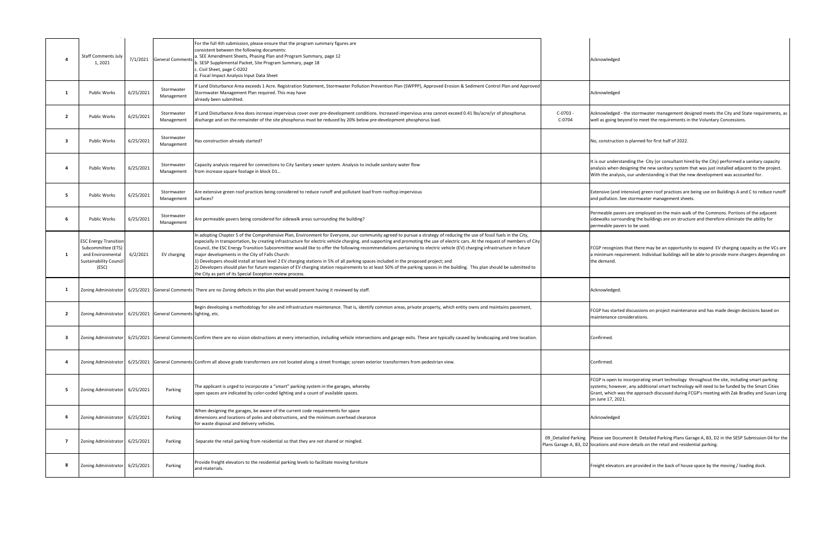|                | <b>Staff Comments July</b><br>1, 2021                                                                      | 7/1/2021  | <b>General Comments</b>                   | For the full 4th submission, please ensure that the program summary figures are<br>consistent between the following documents:<br>a. SEE Amendment Sheets, Phasing Plan and Program Summary, page 12<br>b. SESP Supplemental Packet, Site Program Summary, page 18<br>c. Civil Sheet, page C-0202<br>d. Fiscal Impact Analysis Input Data Sheet                                                                                                                                                                                                                                                                                                                                                                                                                                                                                                                                                                                                                            |                                                                                 | Acknowledged                                                            |
|----------------|------------------------------------------------------------------------------------------------------------|-----------|-------------------------------------------|----------------------------------------------------------------------------------------------------------------------------------------------------------------------------------------------------------------------------------------------------------------------------------------------------------------------------------------------------------------------------------------------------------------------------------------------------------------------------------------------------------------------------------------------------------------------------------------------------------------------------------------------------------------------------------------------------------------------------------------------------------------------------------------------------------------------------------------------------------------------------------------------------------------------------------------------------------------------------|---------------------------------------------------------------------------------|-------------------------------------------------------------------------|
| 1              | Public Works                                                                                               | 6/25/2021 | Stormwater<br>Management                  | f Land Disturbance Area exceeds 1 Acre. Registration Statement, Stormwater Pollution Prevention Plan (SWPPP), Approved Erosion & Sediment Control Plan and Approved<br>Stormwater Management Plan required. This may have<br>already been submitted.                                                                                                                                                                                                                                                                                                                                                                                                                                                                                                                                                                                                                                                                                                                       |                                                                                 | Acknowledged                                                            |
| $\overline{2}$ | Public Works                                                                                               | 6/25/2021 | Stormwater<br>Management                  | If Land Disturbance Area does increase impervious cover over pre-development conditions. Increased impervious area cannot exceed 0.41 lbs/acre/yr of phosphorus<br>discharge and on the remainder of the site phosphorus must be reduced by 20% below pre-development phosphorus load.                                                                                                                                                                                                                                                                                                                                                                                                                                                                                                                                                                                                                                                                                     | C-0703 -<br>C-0704                                                              | Acknowledged ·<br>well as going be                                      |
| $\mathbf{3}$   | Public Works                                                                                               | 6/25/2021 | Stormwater<br>Management                  | Has construction already started?                                                                                                                                                                                                                                                                                                                                                                                                                                                                                                                                                                                                                                                                                                                                                                                                                                                                                                                                          |                                                                                 | No, constructio                                                         |
|                | Public Works                                                                                               | 6/25/2021 | Stormwater<br>Management                  | Capacity analysis required for connections to City Sanitary sewer system. Analysis to include sanitary water flow<br>from increase square footage in block D1                                                                                                                                                                                                                                                                                                                                                                                                                                                                                                                                                                                                                                                                                                                                                                                                              |                                                                                 | It is our underst<br>analysis when d<br>With the analys                 |
| 5              | <b>Public Works</b>                                                                                        | 6/25/2021 | Stormwater<br>Management                  | Are extensive green roof practices being considered to reduce runoff and pollutant load from rooftop impervious<br>surfaces?                                                                                                                                                                                                                                                                                                                                                                                                                                                                                                                                                                                                                                                                                                                                                                                                                                               |                                                                                 | Extensive (and i<br>and pollution. S                                    |
| 6              | <b>Public Works</b>                                                                                        | 6/25/2021 | Stormwater<br>Management                  | Are permeable pavers being considered for sidewalk areas surrounding the building?                                                                                                                                                                                                                                                                                                                                                                                                                                                                                                                                                                                                                                                                                                                                                                                                                                                                                         |                                                                                 | Permeable pave<br>sidewalks surro<br>permeable pave                     |
| 1              | ESC Energy Transition<br>Subcommittee (ETS)<br>and Environmental<br><b>Sustainability Council</b><br>(ESC) | 6/2/2021  | EV charging                               | In adopting Chapter 5 of the Comprehensive Plan, Environment for Everyone, our community agreed to pursue a strategy of reducing the use of fossil fuels in the City,<br>especially in transportation, by creating infrastructure for electric vehicle charging, and supporting and promoting the use of electric cars. At the request of members of City<br>Council, the ESC Energy Transition Subcommittee would like to offer the following recommendations pertaining to electric vehicle (EV) charging infrastructure in future<br>major developments in the City of Falls Church:<br>1) Developers should install at least level 2 EV charging stations in 5% of all parking spaces included in the proposed project; and<br>2) Developers should plan for future expansion of EV charging station requirements to at least 50% of the parking spaces in the building. This plan should be submitted to<br>the City as part of its Special Exception review process. |                                                                                 | FCGP recognize<br>a minimum reqi<br>the demand.                         |
| $\mathbf{1}$   | Zoning Administrator                                                                                       |           |                                           | 6/25/2021 General Comments There are no Zoning defects in this plan that would prevent having it reviewed by staff.                                                                                                                                                                                                                                                                                                                                                                                                                                                                                                                                                                                                                                                                                                                                                                                                                                                        |                                                                                 | Acknowledged.                                                           |
| $\overline{2}$ | Zoning Administrator                                                                                       |           | 6/25/2021 General Comments lighting, etc. | Begin developing a methodology for site and infrastructure maintenance. That is, identify common areas, private property, which entity owns and maintains pavement,                                                                                                                                                                                                                                                                                                                                                                                                                                                                                                                                                                                                                                                                                                                                                                                                        |                                                                                 | FCGP has starte<br>maintenance co                                       |
|                |                                                                                                            |           |                                           | Zoning Administrator   6/25/2021 General Comments Confirm there are no vision obstructions at every intersection, including vehicle intersections and garage exits. These are typically caused by landscaping and tree locatio                                                                                                                                                                                                                                                                                                                                                                                                                                                                                                                                                                                                                                                                                                                                             |                                                                                 | Confirmed.                                                              |
| 4              | Zoning Administrator                                                                                       |           |                                           | 6/25/2021 General Comments Confirm all above grade transformers are not located along a street frontage; screen exterior transformers from pedestrian view.                                                                                                                                                                                                                                                                                                                                                                                                                                                                                                                                                                                                                                                                                                                                                                                                                |                                                                                 | Confirmed.                                                              |
| - 5            | Zoning Administrator 6/25/2021                                                                             |           | Parking                                   | The applicant is urged to incorporate a "smart" parking system in the garages, whereby<br>open spaces are indicated by color-coded lighting and a count of available spaces.                                                                                                                                                                                                                                                                                                                                                                                                                                                                                                                                                                                                                                                                                                                                                                                               |                                                                                 | FCGP is open to<br>systems; howev<br>Grant, which wa<br>on June 17, 202 |
| 6              | Zoning Administrator 6/25/2021                                                                             |           | Parking                                   | When designing the garages, be aware of the current code requirements for space<br>dimensions and locations of poles and obstructions, and the minimum overhead clearance<br>for waste disposal and delivery vehicles.                                                                                                                                                                                                                                                                                                                                                                                                                                                                                                                                                                                                                                                                                                                                                     |                                                                                 | Acknowledged                                                            |
| $\overline{7}$ | Zoning Administrator                                                                                       | 6/25/2021 | Parking                                   | Separate the retail parking from residential so that they are not shared or mingled.                                                                                                                                                                                                                                                                                                                                                                                                                                                                                                                                                                                                                                                                                                                                                                                                                                                                                       | 09_Detailed Parking   Please see Docu<br>Plans Garage A, B3, D2 locations and m |                                                                         |
| 8              | Zoning Administrator 6/25/2021                                                                             |           | Parking                                   | Provide freight elevators to the residential parking levels to facilitate moving furniture<br>and materials.                                                                                                                                                                                                                                                                                                                                                                                                                                                                                                                                                                                                                                                                                                                                                                                                                                                               |                                                                                 | Freight elevator                                                        |
|                |                                                                                                            |           |                                           |                                                                                                                                                                                                                                                                                                                                                                                                                                                                                                                                                                                                                                                                                                                                                                                                                                                                                                                                                                            |                                                                                 |                                                                         |

edged - the stormwater management designed meets the City and State requirements, as oing beyond to meet the requirements in the Voluntary Concessions.

truction is planned for first half of 2022.

understanding the City (or consultant hired by the City) performed a sanitary capacity when designing the new sanitary system that was just installed adjacent to the project. analysis, our understanding is that the new development was accounted for.

e (and intensive) green roof practices are being use on Buildings A and C to reduce runoff ation. See stormwater management sheets.

le pavers are employed on the main walk of the Commons. Portions of the adjacent s surrounding the buildings are on structure and therefore eliminate the ability for le pavers to be used.

cognizes that there may be an opportunity to expand EV charging capacity as the VCs are am requirement. Individual buildings will be able to provide more chargers depending on and.

s started discussions on project maintenance and has made design decisions based on ance considerations.

pen to incorporating smart technology throughout the site, including smart parking however, any additional smart technology will need to be funded by the Smart Cities hich was the approach discussed during FCGP's meeting with Zak Bradley and Susan Long 17, 2021.

e Document 8: Detailed Parking Plans Garage A, B3, D2 in the SESP Submission 04 for the and more details on the retail and residential parking.

levators are provided in the back of house space by the moving / loading dock.